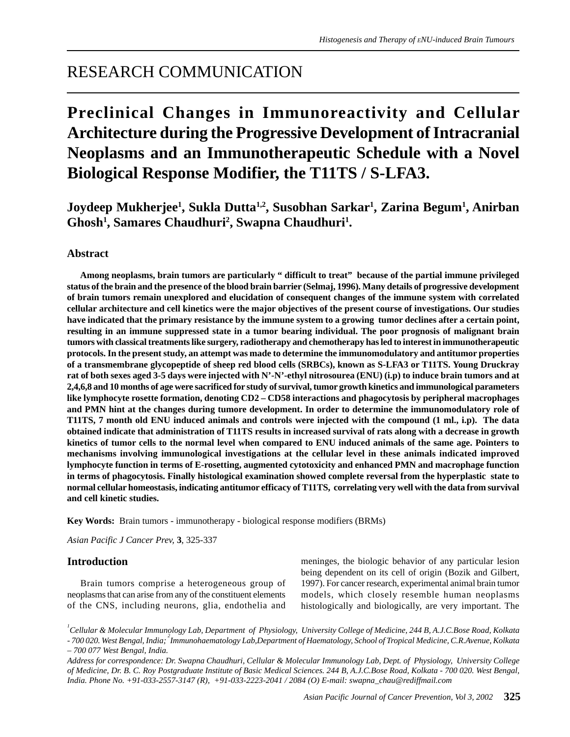# RESEARCH COMMUNICATION

# **Preclinical Changes in Immunoreactivity and Cellular Architecture during the Progressive Development of Intracranial Neoplasms and an Immunotherapeutic Schedule with a Novel Biological Response Modifier, the T11TS / S-LFA3.**

**Joydeep Mukherjee1 , Sukla Dutta1,2, Susobhan Sarkar1 , Zarina Begum1 , Anirban** Ghosh<sup>1</sup>, Samares Chaudhuri<sup>2</sup>, Swapna Chaudhuri<sup>1</sup>.

# **Abstract**

**Among neoplasms, brain tumors are particularly " difficult to treat" because of the partial immune privileged status of the brain and the presence of the blood brain barrier (Selmaj, 1996). Many details of progressive development of brain tumors remain unexplored and elucidation of consequent changes of the immune system with correlated cellular architecture and cell kinetics were the major objectives of the present course of investigations. Our studies have indicated that the primary resistance by the immune system to a growing tumor declines after a certain point, resulting in an immune suppressed state in a tumor bearing individual. The poor prognosis of malignant brain tumors with classical treatments like surgery, radiotherapy and chemotherapy has led to interest in immunotherapeutic protocols. In the present study, an attempt was made to determine the immunomodulatory and antitumor properties of a transmembrane glycopeptide of sheep red blood cells (SRBCs), known as S-LFA3 or T11TS. Young Druckray rat of both sexes aged 3-5 days were injected with N'-N'-ethyl nitrosourea (ENU) (i.p) to induce brain tumors and at 2,4,6,8 and 10 months of age were sacrificed for study of survival, tumor growth kinetics and immunological parameters like lymphocyte rosette formation, denoting CD2 – CD58 interactions and phagocytosis by peripheral macrophages and PMN hint at the changes during tumore development. In order to determine the immunomodulatory role of T11TS, 7 month old ENU induced animals and controls were injected with the compound (1 ml., i.p). The data obtained indicate that administration of T11TS results in increased survival of rats along with a decrease in growth kinetics of tumor cells to the normal level when compared to ENU induced animals of the same age. Pointers to mechanisms involving immunological investigations at the cellular level in these animals indicated improved lymphocyte function in terms of E-rosetting, augmented cytotoxicity and enhanced PMN and macrophage function in terms of phagocytosis. Finally histological examination showed complete reversal from the hyperplastic state to normal cellular homeostasis, indicating antitumor efficacy of T11TS, correlating very well with the data from survival and cell kinetic studies.**

**Key Words:** Brain tumors - immunotherapy - biological response modifiers (BRMs)

*Asian Pacific J Cancer Prev,* **3**, 325-337

# **Introduction**

Brain tumors comprise a heterogeneous group of neoplasms that can arise from any of the constituent elements of the CNS, including neurons, glia, endothelia and meninges, the biologic behavior of any particular lesion being dependent on its cell of origin (Bozik and Gilbert, 1997). For cancer research, experimental animal brain tumor models, which closely resemble human neoplasms histologically and biologically, are very important. The

*1 Cellular & Molecular Immunology Lab, Department of Physiology, University College of Medicine, 244 B, A.J.C.Bose Road, Kolkata - 700 020. West Bengal, India; 2 Immunohaematology Lab,Department of Haematology, School of Tropical Medicine, C.R.Avenue, Kolkata – 700 077 West Bengal, India.*

*Address for correspondence: Dr. Swapna Chaudhuri, Cellular & Molecular Immunology Lab, Dept. of Physiology, University College of Medicine, Dr. B. C. Roy Postgraduate Institute of Basic Medical Sciences. 244 B, A.J.C.Bose Road, Kolkata - 700 020. West Bengal, India. Phone No. +91-033-2557-3147 (R), +91-033-2223-2041 / 2084 (O) E-mail: swapna\_chau@rediffmail.com*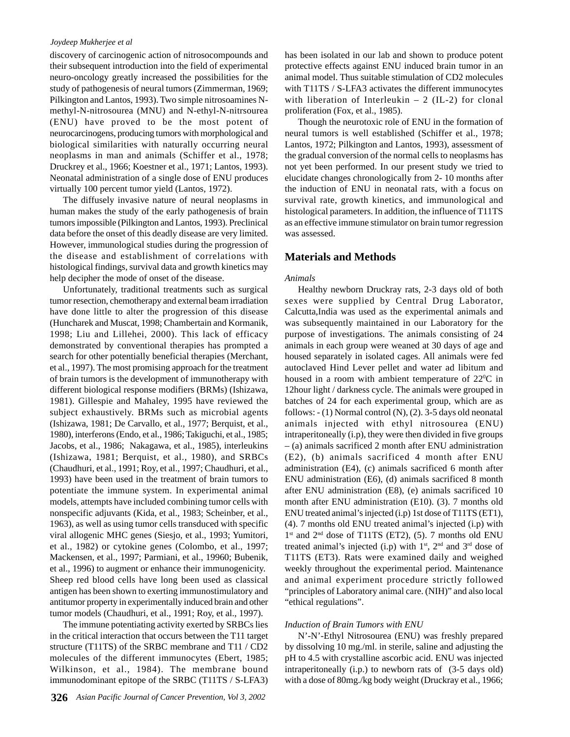discovery of carcinogenic action of nitrosocompounds and their subsequent introduction into the field of experimental neuro-oncology greatly increased the possibilities for the study of pathogenesis of neural tumors (Zimmerman, 1969; Pilkington and Lantos, 1993). Two simple nitrosoamines Nmethyl-N-nitrosourea (MNU) and N-ethyl-N-nitrsourea (ENU) have proved to be the most potent of neurocarcinogens, producing tumors with morphological and biological similarities with naturally occurring neural neoplasms in man and animals (Schiffer et al., 1978; Druckrey et al., 1966; Koestner et al., 1971; Lantos, 1993). Neonatal administration of a single dose of ENU produces virtually 100 percent tumor yield (Lantos, 1972).

The diffusely invasive nature of neural neoplasms in human makes the study of the early pathogenesis of brain tumors impossible (Pilkington and Lantos, 1993). Preclinical data before the onset of this deadly disease are very limited. However, immunological studies during the progression of the disease and establishment of correlations with histological findings, survival data and growth kinetics may help decipher the mode of onset of the disease.

Unfortunately, traditional treatments such as surgical tumor resection, chemotherapy and external beam irradiation have done little to alter the progression of this disease (Huncharek and Muscat, 1998; Chambertain and Kormanik, 1998; Liu and Lillehei, 2000). This lack of efficacy demonstrated by conventional therapies has prompted a search for other potentially beneficial therapies (Merchant, et al., 1997). The most promising approach for the treatment of brain tumors is the development of immunotherapy with different biological response modifiers (BRMs) (Ishizawa, 1981). Gillespie and Mahaley, 1995 have reviewed the subject exhaustively. BRMs such as microbial agents (Ishizawa, 1981; De Carvallo, et al., 1977; Berquist, et al., 1980), interferons (Endo, et al., 1986; Takiguchi, et al., 1985; Jacobs, et al., 1986; Nakagawa, et al., 1985), interleukins (Ishizawa, 1981; Berquist, et al., 1980), and SRBCs (Chaudhuri, et al., 1991; Roy, et al., 1997; Chaudhuri, et al., 1993) have been used in the treatment of brain tumors to potentiate the immune system. In experimental animal models, attempts have included combining tumor cells with nonspecific adjuvants (Kida, et al., 1983; Scheinber, et al., 1963), as well as using tumor cells transduced with specific viral allogenic MHC genes (Siesjo, et al., 1993; Yumitori, et al., 1982) or cytokine genes (Colombo, et al., 1997; Mackensen, et al., 1997; Parmiani, et al., 19960; Bubenik, et al., 1996) to augment or enhance their immunogenicity. Sheep red blood cells have long been used as classical antigen has been shown to exerting immunostimulatory and antitumor property in experimentally induced brain and other tumor models (Chaudhuri, et al., 1991; Roy, et al., 1997).

The immune potentiating activity exerted by SRBCs lies in the critical interaction that occurs between the T11 target structure (T11TS) of the SRBC membrane and T11 / CD2 molecules of the different immunocytes (Ebert, 1985; Wilkinson, et al., 1984). The membrane bound immunodominant epitope of the SRBC (T11TS / S-LFA3)

has been isolated in our lab and shown to produce potent protective effects against ENU induced brain tumor in an animal model. Thus suitable stimulation of CD2 molecules with T11TS / S-LFA3 activates the different immunocytes with liberation of Interleukin  $- 2$  (IL-2) for clonal proliferation (Fox, et al., 1985).

Though the neurotoxic role of ENU in the formation of neural tumors is well established (Schiffer et al., 1978; Lantos, 1972; Pilkington and Lantos, 1993), assessment of the gradual conversion of the normal cells to neoplasms has not yet been performed. In our present study we tried to elucidate changes chronologically from 2- 10 months after the induction of ENU in neonatal rats, with a focus on survival rate, growth kinetics, and immunological and histological parameters. In addition, the influence of T11TS as an effective immune stimulator on brain tumor regression was assessed.

# **Materials and Methods**

#### *Animals*

Healthy newborn Druckray rats, 2-3 days old of both sexes were supplied by Central Drug Laborator, Calcutta,India was used as the experimental animals and was subsequently maintained in our Laboratory for the purpose of investigations. The animals consisting of 24 animals in each group were weaned at 30 days of age and housed separately in isolated cages. All animals were fed autoclaved Hind Lever pellet and water ad libitum and housed in a room with ambient temperature of  $22^{\circ}$ C in 12hour light / darkness cycle. The animals were grouped in batches of 24 for each experimental group, which are as follows: - (1) Normal control (N), (2). 3-5 days old neonatal animals injected with ethyl nitrosourea (ENU) intraperitoneally (i.p), they were then divided in five groups – (a) animals sacrificed 2 month after ENU administration (E2), (b) animals sacrificed 4 month after ENU administration (E4), (c) animals sacrificed 6 month after ENU administration (E6), (d) animals sacrificed 8 month after ENU administration (E8), (e) animals sacrificed 10 month after ENU administration (E10). (3). 7 months old ENU treated animal's injected (i.p) 1st dose of T11TS (ET1), (4). 7 months old ENU treated animal's injected (i.p) with  $1<sup>st</sup>$  and  $2<sup>nd</sup>$  dose of T11TS (ET2), (5). 7 months old ENU treated animal's injected (i.p) with  $1<sup>st</sup>$ ,  $2<sup>nd</sup>$  and  $3<sup>rd</sup>$  dose of T11TS (ET3). Rats were examined daily and weighed weekly throughout the experimental period. Maintenance and animal experiment procedure strictly followed "principles of Laboratory animal care. (NIH)" and also local "ethical regulations".

## *Induction of Brain Tumors with ENU*

N'-N'-Ethyl Nitrosourea (ENU) was freshly prepared by dissolving 10 mg./ml. in sterile, saline and adjusting the pH to 4.5 with crystalline ascorbic acid. ENU was injected intraperitoneally (i.p.) to newborn rats of (3-5 days old) with a dose of 80mg./kg body weight (Druckray et al., 1966;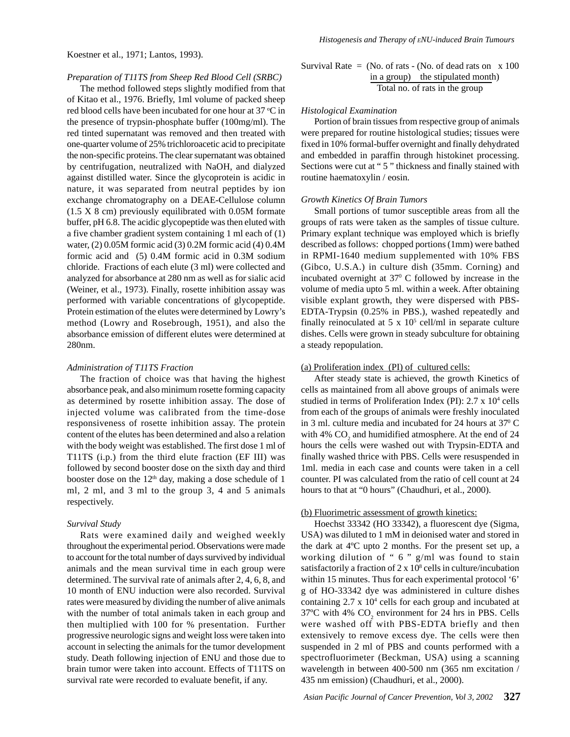Koestner et al., 1971; Lantos, 1993).

# *Preparation of T11TS from Sheep Red Blood Cell (SRBC)*

The method followed steps slightly modified from that of Kitao et al., 1976. Briefly, 1ml volume of packed sheep red blood cells have been incubated for one hour at 37 °C in the presence of trypsin-phosphate buffer (100mg/ml). The red tinted supernatant was removed and then treated with one-quarter volume of 25% trichloroacetic acid to precipitate the non-specific proteins. The clear supernatant was obtained by centrifugation, neutralized with NaOH, and dialyzed against distilled water. Since the glycoprotein is acidic in nature, it was separated from neutral peptides by ion exchange chromatography on a DEAE-Cellulose column (1.5 X 8 cm) previously equilibrated with 0.05M formate buffer, pH 6.8. The acidic glycopeptide was then eluted with a five chamber gradient system containing 1 ml each of (1) water, (2) 0.05M formic acid (3) 0.2M formic acid (4) 0.4M formic acid and (5) 0.4M formic acid in 0.3M sodium chloride. Fractions of each elute (3 ml) were collected and analyzed for absorbance at 280 nm as well as for sialic acid (Weiner, et al., 1973). Finally, rosette inhibition assay was performed with variable concentrations of glycopeptide. Protein estimation of the elutes were determined by Lowry's method (Lowry and Rosebrough, 1951), and also the absorbance emission of different elutes were determined at 280nm.

## *Administration of T11TS Fraction*

The fraction of choice was that having the highest absorbance peak, and also minimum rosette forming capacity as determined by rosette inhibition assay. The dose of injected volume was calibrated from the time-dose responsiveness of rosette inhibition assay. The protein content of the elutes has been determined and also a relation with the body weight was established. The first dose 1 ml of T11TS (i.p.) from the third elute fraction (EF III) was followed by second booster dose on the sixth day and third booster dose on the  $12<sup>th</sup>$  day, making a dose schedule of 1 ml, 2 ml, and 3 ml to the group 3, 4 and 5 animals respectively.

# *Survival Study*

Rats were examined daily and weighed weekly throughout the experimental period. Observations were made to account for the total number of days survived by individual animals and the mean survival time in each group were determined. The survival rate of animals after 2, 4, 6, 8, and 10 month of ENU induction were also recorded. Survival rates were measured by dividing the number of alive animals with the number of total animals taken in each group and then multiplied with 100 for % presentation. Further progressive neurologic signs and weight loss were taken into account in selecting the animals for the tumor development study. Death following injection of ENU and those due to brain tumor were taken into account. Effects of T11TS on survival rate were recorded to evaluate benefit, if any.

Survival Rate = (No. of rats - (No. of dead rats on 
$$
x
$$
 100 in a group) the stipulated month)

\nTotal no. of rats in the group

# *Histological Examination*

Portion of brain tissues from respective group of animals were prepared for routine histological studies; tissues were fixed in 10% formal-buffer overnight and finally dehydrated and embedded in paraffin through histokinet processing. Sections were cut at " 5 " thickness and finally stained with routine haematoxylin / eosin.

# *Growth Kinetics Of Brain Tumors*

Small portions of tumor susceptible areas from all the groups of rats were taken as the samples of tissue culture. Primary explant technique was employed which is briefly described as follows: chopped portions (1mm) were bathed in RPMI-1640 medium supplemented with 10% FBS (Gibco, U.S.A.) in culture dish (35mm. Corning) and incubated overnight at  $37^{\circ}$  C followed by increase in the volume of media upto 5 ml. within a week. After obtaining visible explant growth, they were dispersed with PBS-EDTA-Trypsin (0.25% in PBS.), washed repeatedly and finally reinoculated at  $5 \times 10^5$  cell/ml in separate culture dishes. Cells were grown in steady subculture for obtaining a steady repopulation.

# (a) Proliferation index (PI) of cultured cells:

After steady state is achieved, the growth Kinetics of cells as maintained from all above groups of animals were studied in terms of Proliferation Index (PI): 2.7 x 10<sup>4</sup> cells from each of the groups of animals were freshly inoculated in 3 ml. culture media and incubated for 24 hours at  $37^{\circ}$  C with 4%  $CO<sub>2</sub>$  and humidified atmosphere. At the end of 24 hours the cells were washed out with Trypsin-EDTA and finally washed thrice with PBS. Cells were resuspended in 1ml. media in each case and counts were taken in a cell counter. PI was calculated from the ratio of cell count at 24 hours to that at "0 hours" (Chaudhuri, et al., 2000).

# (b) Fluorimetric assessment of growth kinetics:

Hoechst 33342 (HO 33342), a fluorescent dye (Sigma, USA) was diluted to 1 mM in deionised water and stored in the dark at 4ºC upto 2 months. For the present set up, a working dilution of " 6 " g/ml was found to stain satisfactorily a fraction of  $2 \times 10^8$  cells in culture/incubation within 15 minutes. Thus for each experimental protocol '6' g of HO-33342 dye was administered in culture dishes containing  $2.7 \times 10^4$  cells for each group and incubated at 37°C with 4%  $CO_2$  environment for 24 hrs in PBS. Cells were washed off with PBS-EDTA briefly and then extensively to remove excess dye. The cells were then suspended in 2 ml of PBS and counts performed with a spectrofluorimeter (Beckman, USA) using a scanning wavelength in between 400-500 nm (365 nm excitation / 435 nm emission) (Chaudhuri, et al., 2000).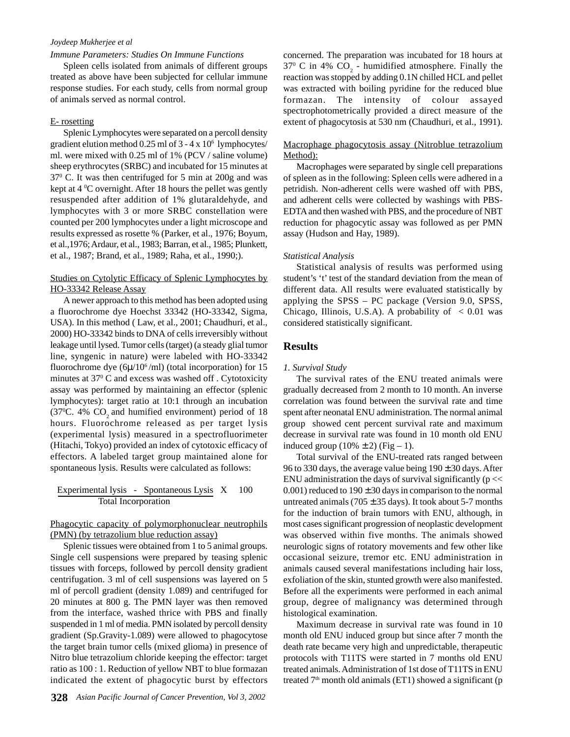## *Immune Parameters: Studies On Immune Functions*

Spleen cells isolated from animals of different groups treated as above have been subjected for cellular immune response studies. For each study, cells from normal group of animals served as normal control.

## E- rosetting

Splenic Lymphocytes were separated on a percoll density gradient elution method 0.25 ml of 3 - 4 x 106 lymphocytes/ ml. were mixed with 0.25 ml of 1% (PCV / saline volume) sheep erythrocytes (SRBC) and incubated for 15 minutes at 370 C. It was then centrifuged for 5 min at 200g and was kept at  $4\,^{\circ}\text{C}$  overnight. After 18 hours the pellet was gently resuspended after addition of 1% glutaraldehyde, and lymphocytes with 3 or more SRBC constellation were counted per 200 lymphocytes under a light microscope and results expressed as rosette % (Parker, et al., 1976; Boyum, et al.,1976; Ardaur, et al., 1983; Barran, et al., 1985; Plunkett, et al., 1987; Brand, et al., 1989; Raha, et al., 1990;).

## Studies on Cytolytic Efficacy of Splenic Lymphocytes by HO-33342 Release Assay

A newer approach to this method has been adopted using a fluorochrome dye Hoechst 33342 (HO-33342, Sigma, USA). In this method ( Law, et al., 2001; Chaudhuri, et al., 2000) HO-33342 binds to DNA of cells irreversibly without leakage until lysed. Tumor cells (target) (a steady glial tumor line, syngenic in nature) were labeled with HO-33342 fluorochrome dye  $(6\mu/10^6/\text{ml})$  (total incorporation) for 15 minutes at 37<sup>0</sup> C and excess was washed off . Cytotoxicity assay was performed by maintaining an effector (splenic lymphocytes): target ratio at 10:1 through an incubation (37 $\degree$ C. 4% CO<sub>2</sub> and humified environment) period of 18 hours. Fluorochrome released as per target lysis (experimental lysis) measured in a spectrofluorimeter (Hitachi, Tokyo) provided an index of cytotoxic efficacy of effectors. A labeled target group maintained alone for spontaneous lysis. Results were calculated as follows:

 Experimental lysis - Spontaneous Lysis X 100 Total Incorporation

Phagocytic capacity of polymorphonuclear neutrophils (PMN) (by tetrazolium blue reduction assay)

Splenic tissues were obtained from 1 to 5 animal groups. Single cell suspensions were prepared by teasing splenic tissues with forceps, followed by percoll density gradient centrifugation. 3 ml of cell suspensions was layered on 5 ml of percoll gradient (density 1.089) and centrifuged for 20 minutes at 800 g. The PMN layer was then removed from the interface, washed thrice with PBS and finally suspended in 1 ml of media. PMN isolated by percoll density gradient (Sp.Gravity-1.089) were allowed to phagocytose the target brain tumor cells (mixed glioma) in presence of Nitro blue tetrazolium chloride keeping the effector: target ratio as 100 : 1. Reduction of yellow NBT to blue formazan indicated the extent of phagocytic burst by effectors concerned. The preparation was incubated for 18 hours at 37<sup>0</sup> C in 4%  $CO_2$  - humidified atmosphere. Finally the reaction was stopped by adding 0.1N chilled HCL and pellet was extracted with boiling pyridine for the reduced blue formazan. The intensity of colour assayed spectrophotometrically provided a direct measure of the extent of phagocytosis at 530 nm (Chaudhuri, et al., 1991).

## Macrophage phagocytosis assay (Nitroblue tetrazolium Method):

Macrophages were separated by single cell preparations of spleen as in the following: Spleen cells were adhered in a petridish. Non-adherent cells were washed off with PBS, and adherent cells were collected by washings with PBS-EDTA and then washed with PBS, and the procedure of NBT reduction for phagocytic assay was followed as per PMN assay (Hudson and Hay, 1989).

## *Statistical Analysis*

Statistical analysis of results was performed using student's 't' test of the standard deviation from the mean of different data. All results were evaluated statistically by applying the SPSS – PC package (Version 9.0, SPSS, Chicago, Illinois, U.S.A). A probability of  $\langle 0.01 \rangle$  was considered statistically significant.

## **Results**

#### *1. Survival Study*

The survival rates of the ENU treated animals were gradually decreased from 2 month to 10 month. An inverse correlation was found between the survival rate and time spent after neonatal ENU administration. The normal animal group showed cent percent survival rate and maximum decrease in survival rate was found in 10 month old ENU induced group  $(10\% \pm 2)$  (Fig – 1).

Total survival of the ENU-treated rats ranged between 96 to 330 days, the average value being  $190 \pm 30$  days. After ENU administration the days of survival significantly ( $p \ll$ 0.001) reduced to  $190 \pm 30$  days in comparison to the normal untreated animals (705  $\pm$  35 days). It took about 5-7 months for the induction of brain tumors with ENU, although, in most cases significant progression of neoplastic development was observed within five months. The animals showed neurologic signs of rotatory movements and few other like occasional seizure, tremor etc. ENU administration in animals caused several manifestations including hair loss, exfoliation of the skin, stunted growth were also manifested. Before all the experiments were performed in each animal group, degree of malignancy was determined through histological examination.

Maximum decrease in survival rate was found in 10 month old ENU induced group but since after 7 month the death rate became very high and unpredictable, therapeutic protocols with T11TS were started in 7 months old ENU treated animals. Administration of 1st dose of T11TS in ENU treated  $7<sup>th</sup>$  month old animals (ET1) showed a significant (p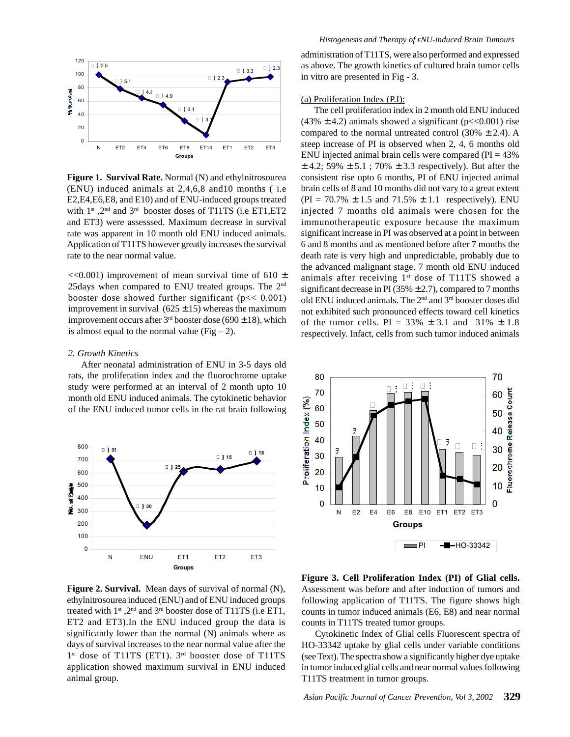

**Figure 1. Survival Rate.** Normal (N) and ethylnitrosourea (ENU) induced animals at 2,4,6,8 and10 months ( i.e E2,E4,E6,E8, and E10) and of ENU-induced groups treated with  $1^{st}$ ,  $2^{nd}$  and  $3^{rd}$  booster doses of T11TS (i.e ET1, ET2 and ET3) were assesssed. Maximum decrease in survival rate was apparent in 10 month old ENU induced animals. Application of T11TS however greatly increases the survival rate to the near normal value.

 $<<0.001$ ) improvement of mean survival time of 610  $\pm$ 25days when compared to ENU treated groups. The 2nd booster dose showed further significant ( $p \ll 0.001$ ) improvement in survival  $(625 \pm 15)$  whereas the maximum improvement occurs after  $3<sup>rd</sup>$  booster dose (690  $\pm$  18), which is almost equal to the normal value (Fig  $- 2$ ).

## *2. Growth Kinetics*

After neonatal administration of ENU in 3-5 days old rats, the proliferation index and the fluorochrome uptake study were performed at an interval of 2 month upto 10 month old ENU induced animals. The cytokinetic behavior of the ENU induced tumor cells in the rat brain following



as above. The growth kinetics of cultured brain tumor cells in vitro are presented in Fig - 3.

## (a) Proliferation Index (P.I):

The cell proliferation index in 2 month old ENU induced (43%  $\pm$  4.2) animals showed a significant (p<<0.001) rise compared to the normal untreated control (30%  $\pm$  2.4). A steep increase of PI is observed when 2, 4, 6 months old ENU injected animal brain cells were compared ( $PI = 43\%$ )  $\pm$  4.2; 59%  $\pm$  5.1; 70%  $\pm$  3.3 respectively). But after the consistent rise upto 6 months, PI of ENU injected animal brain cells of 8 and 10 months did not vary to a great extent  $(PI = 70.7\% \pm 1.5 \text{ and } 71.5\% \pm 1.1 \text{ respectively. } EW$ injected 7 months old animals were chosen for the immunotherapeutic exposure because the maximum significant increase in PI was observed at a point in between 6 and 8 months and as mentioned before after 7 months the death rate is very high and unpredictable, probably due to the advanced malignant stage. 7 month old ENU induced animals after receiving  $1<sup>st</sup>$  dose of T11TS showed a significant decrease in PI (35%  $\pm$  2.7), compared to 7 months old ENU induced animals. The 2nd and 3rd booster doses did not exhibited such pronounced effects toward cell kinetics of the tumor cells. PI =  $33\% \pm 3.1$  and  $31\% \pm 1.8$ respectively. Infact, cells from such tumor induced animals



**Figure 2. Survival.** Mean days of survival of normal (N), ethylnitrosourea induced (ENU) and of ENU induced groups treated with  $1^{st}$ ,  $2^{nd}$  and  $3^{rd}$  booster dose of T11TS (i.e ET1, ET2 and ET3).In the ENU induced group the data is significantly lower than the normal (N) animals where as days of survival increases to the near normal value after the 1<sup>st</sup> dose of T11TS (ET1). 3<sup>rd</sup> booster dose of T11TS application showed maximum survival in ENU induced animal group.

**Figure 3. Cell Proliferation Index (PI) of Glial cells.** Assessment was before and after induction of tumors and following application of T11TS. The figure shows high counts in tumor induced animals (E6, E8) and near normal counts in T11TS treated tumor groups.

 Cytokinetic Index of Glial cells Fluorescent spectra of HO-33342 uptake by glial cells under variable conditions (see Text). The spectra show a significantly higher dye uptake in tumor induced glial cells and near normal values following T11TS treatment in tumor groups.

administration of T11TS, were also performed and expressed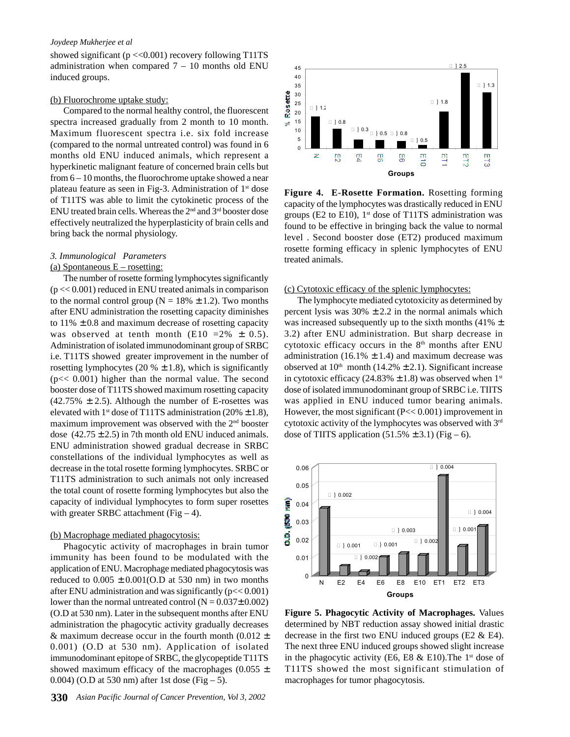showed significant ( $p \ll 0.001$ ) recovery following T11TS administration when compared  $7 - 10$  months old ENU induced groups.

#### (b) Fluorochrome uptake study:

Compared to the normal healthy control, the fluorescent spectra increased gradually from 2 month to 10 month. Maximum fluorescent spectra i.e. six fold increase (compared to the normal untreated control) was found in 6 months old ENU induced animals, which represent a hyperkinetic malignant feature of concerned brain cells but from 6 – 10 months, the fluorochrome uptake showed a near plateau feature as seen in Fig-3. Administration of 1st dose of T11TS was able to limit the cytokinetic process of the ENU treated brain cells. Whereas the 2nd and 3rd booster dose effectively neutralized the hyperplasticity of brain cells and bring back the normal physiology.

## *3. Immunological Parameters* (a) Spontaneous  $E$  – rosetting:

The number of rosette forming lymphocytes significantly  $(p \ll 0.001)$  reduced in ENU treated animals in comparison to the normal control group ( $N = 18\% \pm 1.2$ ). Two months after ENU administration the rosetting capacity diminishes to  $11\% \pm 0.8$  and maximum decrease of rosetting capacity was observed at tenth month (E10 =  $2\% \pm 0.5$ ). Administration of isolated immunodominant group of SRBC i.e. T11TS showed greater improvement in the number of rosetting lymphocytes (20  $% \pm 1.8$ ), which is significantly (p<< 0.001) higher than the normal value. The second booster dose of T11TS showed maximum rosetting capacity  $(42.75\% \pm 2.5)$ . Although the number of E-rosettes was elevated with 1<sup>st</sup> dose of T11TS administration (20%  $\pm$  1.8), maximum improvement was observed with the 2nd booster dose  $(42.75 \pm 2.5)$  in 7th month old ENU induced animals. ENU administration showed gradual decrease in SRBC constellations of the individual lymphocytes as well as decrease in the total rosette forming lymphocytes. SRBC or T11TS administration to such animals not only increased the total count of rosette forming lymphocytes but also the capacity of individual lymphocytes to form super rosettes with greater SRBC attachment (Fig  $-4$ ).

#### (b) Macrophage mediated phagocytosis:

Phagocytic activity of macrophages in brain tumor immunity has been found to be modulated with the application of ENU. Macrophage mediated phagocytosis was reduced to  $0.005 \pm 0.001$ (O.D at 530 nm) in two months after ENU administration and was significantly ( $p \ll 0.001$ ) lower than the normal untreated control  $(N = 0.037 \pm 0.002)$ (O.D at 530 nm). Later in the subsequent months after ENU administration the phagocytic activity gradually decreases & maximum decrease occur in the fourth month (0.012  $\pm$ 0.001) (O.D at 530 nm). Application of isolated immunodominant epitope of SRBC, the glycopeptide T11TS showed maximum efficacy of the macrophages (0.055  $\pm$ 0.004) (O.D at 530 nm) after 1st dose (Fig  $-5$ ).



**Figure 4. E-Rosette Formation.** Rosetting forming capacity of the lymphocytes was drastically reduced in ENU groups (E2 to E10),  $1<sup>st</sup>$  dose of T11TS administration was found to be effective in bringing back the value to normal level . Second booster dose (ET2) produced maximum rosette forming efficacy in splenic lymphocytes of ENU treated animals.

#### (c) Cytotoxic efficacy of the splenic lymphocytes:

The lymphocyte mediated cytotoxicity as determined by percent lysis was  $30\% \pm 2.2$  in the normal animals which was increased subsequently up to the sixth months (41%  $\pm$ 3.2) after ENU administration. But sharp decrease in cytotoxic efficacy occurs in the  $8<sup>th</sup>$  months after ENU administration (16.1%  $\pm$  1.4) and maximum decrease was observed at  $10<sup>th</sup>$  month (14.2%  $\pm$  2.1). Significant increase in cytotoxic efficacy (24.83%  $\pm$  1.8) was observed when 1<sup>st</sup> dose of isolated immunodominant group of SRBC i.e. TIITS was applied in ENU induced tumor bearing animals. However, the most significant (P<< 0.001) improvement in cytotoxic activity of the lymphocytes was observed with 3rd dose of TIITS application  $(51.5\% \pm 3.1)$  (Fig – 6).



**Figure 5. Phagocytic Activity of Macrophages.** Values determined by NBT reduction assay showed initial drastic decrease in the first two ENU induced groups (E2  $\&$  E4). The next three ENU induced groups showed slight increase in the phagocytic activity (E6, E8  $\&$  E10). The 1<sup>st</sup> dose of T11TS showed the most significant stimulation of macrophages for tumor phagocytosis.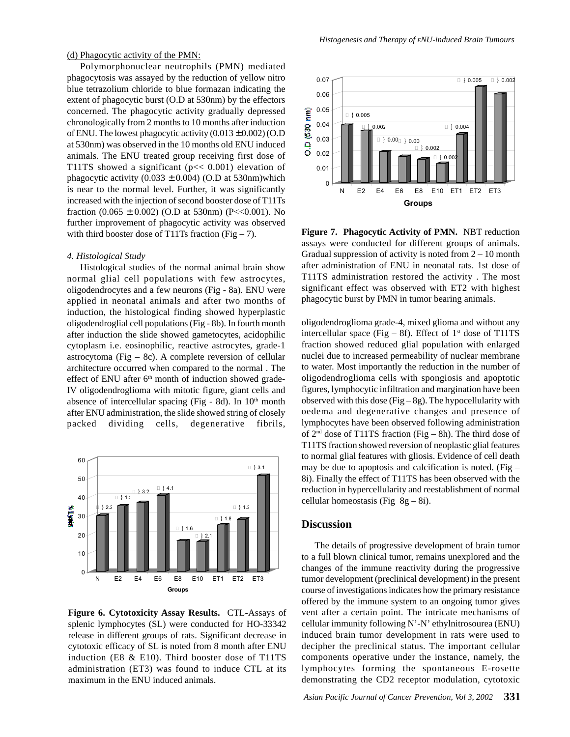(d) Phagocytic activity of the PMN:

Polymorphonuclear neutrophils (PMN) mediated phagocytosis was assayed by the reduction of yellow nitro blue tetrazolium chloride to blue formazan indicating the extent of phagocytic burst (O.D at 530nm) by the effectors concerned. The phagocytic activity gradually depressed chronologically from 2 months to 10 months after induction of ENU. The lowest phagocytic activity  $(0.013 \pm 0.002)$  (O.D at 530nm) was observed in the 10 months old ENU induced animals. The ENU treated group receiving first dose of T11TS showed a significant ( $p \ll 0.001$ ) elevation of phagocytic activity  $(0.033 \pm 0.004)$  (O.D at 530nm)which is near to the normal level. Further, it was significantly increased with the injection of second booster dose of T11Ts fraction  $(0.065 \pm 0.002)$  (O.D at 530nm) (P<<0.001). No further improvement of phagocytic activity was observed with third booster dose of T11Ts fraction (Fig  $-7$ ).

#### *4. Histological Study*

Histological studies of the normal animal brain show normal glial cell populations with few astrocytes, oligodendrocytes and a few neurons (Fig - 8a). ENU were applied in neonatal animals and after two months of induction, the histological finding showed hyperplastic oligodendroglial cell populations (Fig - 8b). In fourth month after induction the slide showed gametocytes, acidophilic cytoplasm i.e. eosinophilic, reactive astrocytes, grade-1 astrocytoma (Fig – 8c). A complete reversion of cellular architecture occurred when compared to the normal . The effect of ENU after 6<sup>th</sup> month of induction showed grade-IV oligodendroglioma with mitotic figure, giant cells and absence of intercellular spacing (Fig - 8d). In  $10<sup>th</sup>$  month after ENU administration, the slide showed string of closely packed dividing cells, degenerative fibrils,



**Figure 6. Cytotoxicity Assay Results.** CTL-Assays of splenic lymphocytes (SL) were conducted for HO-33342 release in different groups of rats. Significant decrease in cytotoxic efficacy of SL is noted from 8 month after ENU induction (E8 & E10). Third booster dose of T11TS administration (ET3) was found to induce CTL at its maximum in the ENU induced animals.



**Figure 7. Phagocytic Activity of PMN.** NBT reduction assays were conducted for different groups of animals. Gradual suppression of activity is noted from  $2 - 10$  month after administration of ENU in neonatal rats. 1st dose of T11TS administration restored the activity . The most significant effect was observed with ET2 with highest phagocytic burst by PMN in tumor bearing animals.

oligodendroglioma grade-4, mixed glioma and without any intercellular space (Fig – 8f). Effect of  $1<sup>st</sup>$  dose of T11TS fraction showed reduced glial population with enlarged nuclei due to increased permeability of nuclear membrane to water. Most importantly the reduction in the number of oligodendroglioma cells with spongiosis and apoptotic figures, lymphocytic infiltration and margination have been observed with this dose (Fig  $-8g$ ). The hypocellularity with oedema and degenerative changes and presence of lymphocytes have been observed following administration of  $2<sup>nd</sup>$  dose of T11TS fraction (Fig – 8h). The third dose of T11TS fraction showed reversion of neoplastic glial features to normal glial features with gliosis. Evidence of cell death may be due to apoptosis and calcification is noted. (Fig  $-$ 8i). Finally the effect of T11TS has been observed with the reduction in hypercellularity and reestablishment of normal cellular homeostasis (Fig  $8g - 8i$ ).

# **Discussion**

The details of progressive development of brain tumor to a full blown clinical tumor, remains unexplored and the changes of the immune reactivity during the progressive tumor development (preclinical development) in the present course of investigations indicates how the primary resistance offered by the immune system to an ongoing tumor gives vent after a certain point. The intricate mechanisms of cellular immunity following N'-N' ethylnitrosourea (ENU) induced brain tumor development in rats were used to decipher the preclinical status. The important cellular components operative under the instance, namely, the lymphocytes forming the spontaneous E-rosette demonstrating the CD2 receptor modulation, cytotoxic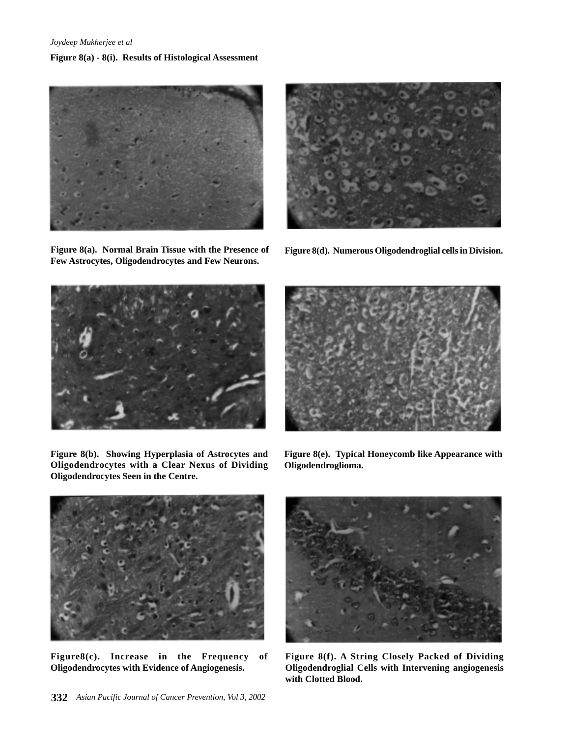# **Figure 8(a) - 8(i). Results of Histological Assessment**



**Figure 8(a). Normal Brain Tissue with the Presence of Few Astrocytes, Oligodendrocytes and Few Neurons.**



**Figure 8(d). Numerous Oligodendroglial cells in Division.**



**Figure 8(b). Showing Hyperplasia of Astrocytes and Oligodendrocytes with a Clear Nexus of Dividing Oligodendrocytes Seen in the Centre.**

**Figure 8(e). Typical Honeycomb like Appearance with Oligodendroglioma.**



**Figure8(c). Increase in the Frequency of Oligodendrocytes with Evidence of Angiogenesis.**



**Figure 8(f). A String Closely Packed of Dividing Oligodendroglial Cells with Intervening angiogenesis with Clotted Blood.**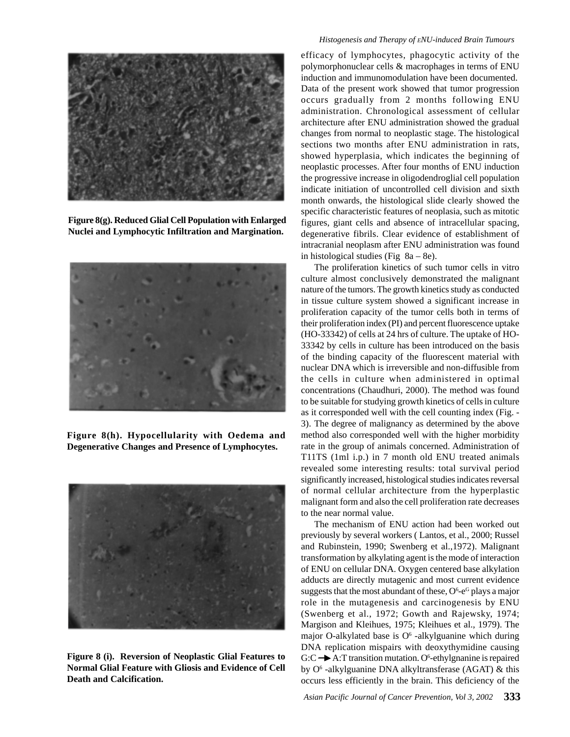

**Figure 8(g). Reduced Glial Cell Population with Enlarged Nuclei and Lymphocytic Infiltration and Margination.**



**Figure 8(h). Hypocellularity with Oedema and Degenerative Changes and Presence of Lymphocytes.**



**Figure 8 (i). Reversion of Neoplastic Glial Features to Normal Glial Feature with Gliosis and Evidence of Cell Death and Calcification.**

## *Histogenesis and Therapy of ENU-induced Brain Tumours*

efficacy of lymphocytes, phagocytic activity of the polymorphonuclear cells & macrophages in terms of ENU induction and immunomodulation have been documented. Data of the present work showed that tumor progression occurs gradually from 2 months following ENU administration. Chronological assessment of cellular architecture after ENU administration showed the gradual changes from normal to neoplastic stage. The histological sections two months after ENU administration in rats, showed hyperplasia, which indicates the beginning of neoplastic processes. After four months of ENU induction the progressive increase in oligodendroglial cell population indicate initiation of uncontrolled cell division and sixth month onwards, the histological slide clearly showed the specific characteristic features of neoplasia, such as mitotic figures, giant cells and absence of intracellular spacing, degenerative fibrils. Clear evidence of establishment of intracranial neoplasm after ENU administration was found in histological studies (Fig  $8a - 8e$ ).

The proliferation kinetics of such tumor cells in vitro culture almost conclusively demonstrated the malignant nature of the tumors. The growth kinetics study as conducted in tissue culture system showed a significant increase in proliferation capacity of the tumor cells both in terms of their proliferation index (PI) and percent fluorescence uptake (HO-33342) of cells at 24 hrs of culture. The uptake of HO-33342 by cells in culture has been introduced on the basis of the binding capacity of the fluorescent material with nuclear DNA which is irreversible and non-diffusible from the cells in culture when administered in optimal concentrations (Chaudhuri, 2000). The method was found to be suitable for studying growth kinetics of cells in culture as it corresponded well with the cell counting index (Fig. - 3). The degree of malignancy as determined by the above method also corresponded well with the higher morbidity rate in the group of animals concerned. Administration of T11TS (1ml i.p.) in 7 month old ENU treated animals revealed some interesting results: total survival period significantly increased, histological studies indicates reversal of normal cellular architecture from the hyperplastic malignant form and also the cell proliferation rate decreases to the near normal value.

The mechanism of ENU action had been worked out previously by several workers ( Lantos, et al., 2000; Russel and Rubinstein, 1990; Swenberg et al.,1972). Malignant transformation by alkylating agent is the mode of interaction of ENU on cellular DNA. Oxygen centered base alkylation adducts are directly mutagenic and most current evidence suggests that the most abundant of these,  $O^6$ -e $^6$  plays a major role in the mutagenesis and carcinogenesis by ENU (Swenberg et al., 1972; Gowth and Rajewsky, 1974; Margison and Kleihues, 1975; Kleihues et al., 1979). The major O-alkylated base is  $O<sup>6</sup>$  -alkylguanine which during DNA replication mispairs with deoxythymidine causing  $G:C \rightarrow A$ : T transition mutation. O<sup>6</sup>-ethylgnanine is repaired by O<sup>6</sup>-alkylguanine DNA alkyltransferase (AGAT) & this occurs less efficiently in the brain. This deficiency of the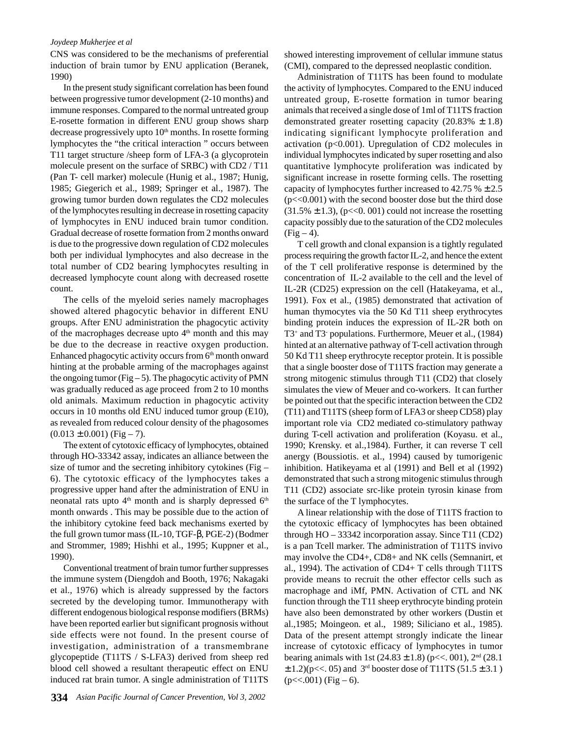CNS was considered to be the mechanisms of preferential induction of brain tumor by ENU application (Beranek, 1990)

In the present study significant correlation has been found between progressive tumor development (2-10 months) and immune responses. Compared to the normal untreated group E-rosette formation in different ENU group shows sharp decrease progressively upto  $10<sup>th</sup>$  months. In rosette forming lymphocytes the "the critical interaction " occurs between T11 target structure /sheep form of LFA-3 (a glycoprotein molecule present on the surface of SRBC) with CD2 / T11 (Pan T- cell marker) molecule (Hunig et al., 1987; Hunig, 1985; Giegerich et al., 1989; Springer et al., 1987). The growing tumor burden down regulates the CD2 molecules of the lymphocytes resulting in decrease in rosetting capacity of lymphocytes in ENU induced brain tumor condition. Gradual decrease of rosette formation from 2 months onward is due to the progressive down regulation of CD2 molecules both per individual lymphocytes and also decrease in the total number of CD2 bearing lymphocytes resulting in decreased lymphocyte count along with decreased rosette count.

The cells of the myeloid series namely macrophages showed altered phagocytic behavior in different ENU groups. After ENU administration the phagocytic activity of the macrophages decrease upto  $4<sup>th</sup>$  month and this may be due to the decrease in reactive oxygen production. Enhanced phagocytic activity occurs from  $6<sup>th</sup>$  month onward hinting at the probable arming of the macrophages against the ongoing tumor (Fig  $-5$ ). The phagocytic activity of PMN was gradually reduced as age proceed from 2 to 10 months old animals. Maximum reduction in phagocytic activity occurs in 10 months old ENU induced tumor group (E10), as revealed from reduced colour density of the phagosomes  $(0.013 \pm 0.001)$  (Fig – 7).

The extent of cytotoxic efficacy of lymphocytes, obtained through HO-33342 assay, indicates an alliance between the size of tumor and the secreting inhibitory cytokines (Fig – 6). The cytotoxic efficacy of the lymphocytes takes a progressive upper hand after the administration of ENU in neonatal rats upto  $4<sup>th</sup>$  month and is sharply depressed  $6<sup>th</sup>$ month onwards . This may be possible due to the action of the inhibitory cytokine feed back mechanisms exerted by the full grown tumor mass (IL-10, TGF-β, PGE-2) (Bodmer and Strommer, 1989; Hishhi et al., 1995; Kuppner et al., 1990).

Conventional treatment of brain tumor further suppresses the immune system (Diengdoh and Booth, 1976; Nakagaki et al., 1976) which is already suppressed by the factors secreted by the developing tumor. Immunotherapy with different endogenous biological response modifiers (BRMs) have been reported earlier but significant prognosis without side effects were not found. In the present course of investigation, administration of a transmembrane glycopeptide (T11TS / S-LFA3) derived from sheep red blood cell showed a resultant therapeutic effect on ENU induced rat brain tumor. A single administration of T11TS

showed interesting improvement of cellular immune status (CMI), compared to the depressed neoplastic condition.

Administration of T11TS has been found to modulate the activity of lymphocytes. Compared to the ENU induced untreated group, E-rosette formation in tumor bearing animals that received a single dose of 1ml of T11TS fraction demonstrated greater rosetting capacity (20.83%  $\pm$  1.8) indicating significant lymphocyte proliferation and activation (p<0.001). Upregulation of CD2 molecules in individual lymphocytes indicated by super rosetting and also quantitative lymphocyte proliferation was indicated by significant increase in rosette forming cells. The rosetting capacity of lymphocytes further increased to 42.75  $% \pm 2.5$  $(p \ll 0.001)$  with the second booster dose but the third dose  $(31.5\% \pm 1.3)$ , (p<<0. 001) could not increase the rosetting capacity possibly due to the saturation of the CD2 molecules  $(Fig-4)$ .

T cell growth and clonal expansion is a tightly regulated process requiring the growth factor IL-2, and hence the extent of the T cell proliferative response is determined by the concentration of IL-2 available to the cell and the level of IL-2R (CD25) expression on the cell (Hatakeyama, et al., 1991). Fox et al., (1985) demonstrated that activation of human thymocytes via the 50 Kd T11 sheep erythrocytes binding protein induces the expression of IL-2R both on T3+ and T3- populations. Furthermore, Meuer et al., (1984) hinted at an alternative pathway of T-cell activation through 50 Kd T11 sheep erythrocyte receptor protein. It is possible that a single booster dose of T11TS fraction may generate a strong mitogenic stimulus through T11 (CD2) that closely simulates the view of Meuer and co-workers. It can further be pointed out that the specific interaction between the CD2 (T11) and T11TS (sheep form of LFA3 or sheep CD58) play important role via CD2 mediated co-stimulatory pathway during T-cell activation and proliferation (Koyasu. et al., 1990; Krensky. et al.,1984). Further, it can reverse T cell anergy (Boussiotis. et al., 1994) caused by tumorigenic inhibition. Hatikeyama et al (1991) and Bell et al (1992) demonstrated that such a strong mitogenic stimulus through T11 (CD2) associate src-like protein tyrosin kinase from the surface of the T lymphocytes.

A linear relationship with the dose of T11TS fraction to the cytotoxic efficacy of lymphocytes has been obtained through HO – 33342 incorporation assay. Since T11 (CD2) is a pan Tcell marker. The administration of T11TS invivo may involve the CD4+, CD8+ and NK cells (Semnanirt, et al., 1994). The activation of CD4+ T cells through T11TS provide means to recruit the other effector cells such as macrophage and iMf, PMN. Activation of CTL and NK function through the T11 sheep erythrocyte binding protein have also been demonstrated by other workers (Dustin et al.,1985; Moingeon. et al., 1989; Siliciano et al., 1985). Data of the present attempt strongly indicate the linear increase of cytotoxic efficacy of lymphocytes in tumor bearing animals with 1st  $(24.83 \pm 1.8)$  (p<<. 001),  $2<sup>nd</sup>$  (28.1)  $\pm$  1.2)(p<<. 05) and 3<sup>rd</sup> booster dose of T11TS (51.5  $\pm$  3.1)  $(p<<.001)$  (Fig – 6).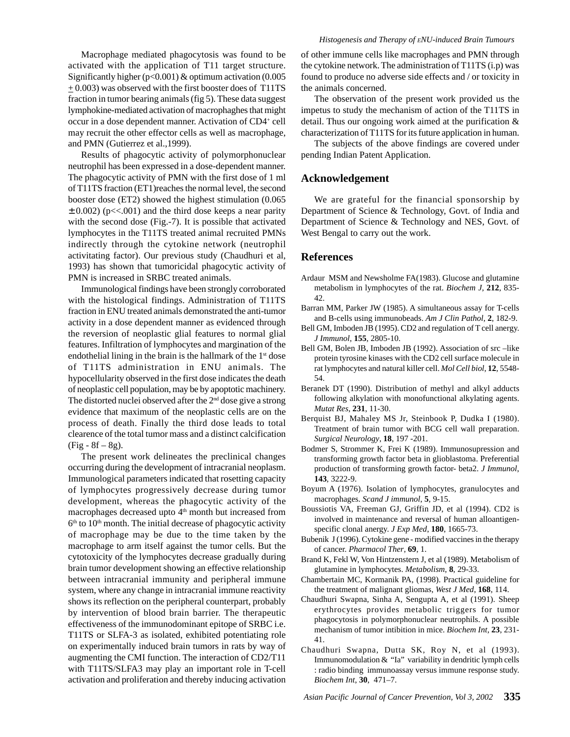Macrophage mediated phagocytosis was found to be activated with the application of T11 target structure. Significantly higher ( $p<0.001$ ) & optimum activation (0.005  $\pm$  0.003) was observed with the first booster does of T11TS fraction in tumor bearing animals (fig 5). These data suggest lymphokine-mediated activation of macrophaghes that might occur in a dose dependent manner. Activation of CD4+ cell may recruit the other effector cells as well as macrophage, and PMN (Gutierrez et al.,1999).

Results of phagocytic activity of polymorphonuclear neutrophil has been expressed in a dose-dependent manner. The phagocytic activity of PMN with the first dose of 1 ml of T11TS fraction (ET1)reaches the normal level, the second booster dose (ET2) showed the highest stimulation (0.065  $\pm$  0.002) (p<<.001) and the third dose keeps a near parity with the second dose (Fig.-7). It is possible that activated lymphocytes in the T11TS treated animal recruited PMNs indirectly through the cytokine network (neutrophil activitating factor). Our previous study (Chaudhuri et al, 1993) has shown that tumoricidal phagocytic activity of PMN is increased in SRBC treated animals.

Immunological findings have been strongly corroborated with the histological findings. Administration of T11TS fraction in ENU treated animals demonstrated the anti-tumor activity in a dose dependent manner as evidenced through the reversion of neoplastic glial features to normal glial features. Infiltration of lymphocytes and margination of the endothelial lining in the brain is the hallmark of the  $1<sup>st</sup>$  dose of T11TS administration in ENU animals. The hypocellularity observed in the first dose indicates the death of neoplastic cell population, may be by apoptotic machinery. The distorted nuclei observed after the  $2<sup>nd</sup>$  dose give a strong evidence that maximum of the neoplastic cells are on the process of death. Finally the third dose leads to total clearence of the total tumor mass and a distinct calcification  $(Fig - 8f - 8g)$ .

The present work delineates the preclinical changes occurring during the development of intracranial neoplasm. Immunological parameters indicated that rosetting capacity of lymphocytes progressively decrease during tumor development, whereas the phagocytic activity of the macrophages decreased upto 4<sup>th</sup> month but increased from  $6<sup>th</sup>$  to  $10<sup>th</sup>$  month. The initial decrease of phagocytic activity of macrophage may be due to the time taken by the macrophage to arm itself against the tumor cells. But the cytotoxicity of the lymphocytes decrease gradually during brain tumor development showing an effective relationship between intracranial immunity and peripheral immune system, where any change in intracranial immune reactivity shows its reflection on the peripheral counterpart, probably by intervention of blood brain barrier. The therapeutic effectiveness of the immunodominant epitope of SRBC i.e. T11TS or SLFA-3 as isolated, exhibited potentiating role on experimentally induced brain tumors in rats by way of augmenting the CMI function. The interaction of CD2/T11 with T11TS/SLFA3 may play an important role in T-cell activation and proliferation and thereby inducing activation

of other immune cells like macrophages and PMN through the cytokine network. The administration of T11TS (i.p) was found to produce no adverse side effects and / or toxicity in the animals concerned.

The observation of the present work provided us the impetus to study the mechanism of action of the T11TS in detail. Thus our ongoing work aimed at the purification & characterization of T11TS for its future application in human.

The subjects of the above findings are covered under pending Indian Patent Application.

## **Acknowledgement**

We are grateful for the financial sponsorship by Department of Science & Technology, Govt. of India and Department of Science & Technology and NES, Govt. of West Bengal to carry out the work.

# **References**

- Ardaur MSM and Newsholme FA(1983). Glucose and glutamine metabolism in lymphocytes of the rat. *Biochem J*, **212**, 835- 42.
- Barran MM, Parker JW (1985). A simultaneous assay for T-cells and B-cells using immunobeads. *Am J Clin Pathol*, **2**, 182-9.
- Bell GM, Imboden JB (1995). CD2 and regulation of T cell anergy. *J Immunol*, **155**, 2805-10.
- Bell GM, Bolen JB, Imboden JB (1992). Association of src-like protein tyrosine kinases with the CD2 cell surface molecule in rat lymphocytes and natural killer cell. *Mol Cell biol*, **12**, 5548- 54.
- Beranek DT (1990). Distribution of methyl and alkyl adducts following alkylation with monofunctional alkylating agents. *Mutat Res*, **231**, 11-30.
- Berquist BJ, Mahaley MS Jr, Steinbook P, Dudka I (1980). Treatment of brain tumor with BCG cell wall preparation. *Surgical Neurology*, **18**, 197 -201.
- Bodmer S, Strommer K, Frei K (1989). Immunosupression and transforming growth factor beta in glioblastoma. Preferential production of transforming growth factor- beta2. *J Immunol*, **143**, 3222-9.
- Boyum A (1976). Isolation of lymphocytes, granulocytes and macrophages. *Scand J immunol*, **5**, 9-15.
- Boussiotis VA, Freeman GJ, Griffin JD, et al (1994). CD2 is involved in maintenance and reversal of human alloantigenspecific clonal anergy. *J Exp Med*, **180**, 1665-73.
- Bubenik J (1996). Cytokine gene modified vaccines in the therapy of cancer. *Pharmacol Ther*, **69**, 1.
- Brand K, Fekl W, Von Hintzenstern J, et al (1989). Metabolism of glutamine in lymphocytes. *Metabolism*, **8**, 29-33.
- Chambertain MC, Kormanik PA, (1998). Practical guideline for the treatment of malignant gliomas, *West J Med*, **168**, 114.
- Chaudhuri Swapna, Sinha A, Sengupta A, et al (1991). Sheep erythrocytes provides metabolic triggers for tumor phagocytosis in polymorphonuclear neutrophils. A possible mechanism of tumor intibition in mice. *Biochem Int,* **23**, 231- 41.
- Chaudhuri Swapna, Dutta SK, Roy N, et al (1993). Immunomodulation & "Ia" variability in dendritic lymph cells : radio binding immunoassay versus immune response study. *Biochem Int*, **30**, 471–7.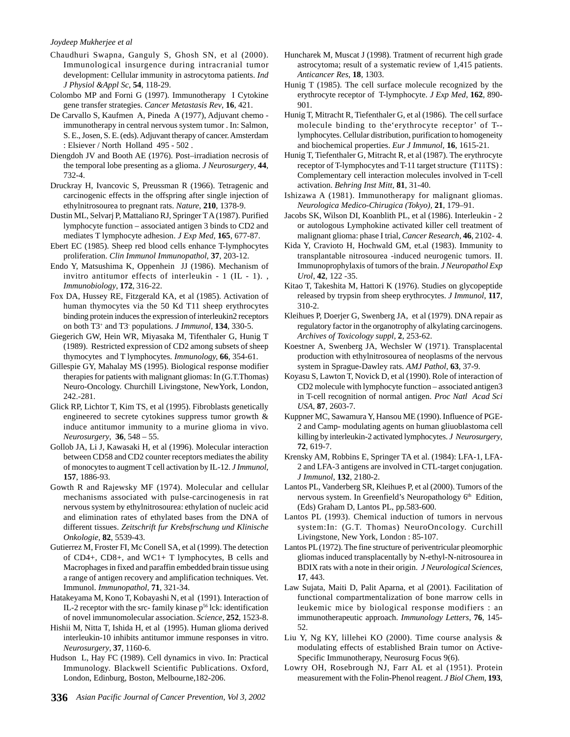- Chaudhuri Swapna, Ganguly S, Ghosh SN, et al (2000). Immunological insurgence during intracranial tumor development: Cellular immunity in astrocytoma patients. *Ind J Physiol &Appl Sc*, **54**, 118-29.
- Colombo MP and Forni G (1997). Immunotherapy I Cytokine gene transfer strategies. *Cancer Metastasis Rev*, **16**, 421.
- De Carvallo S, Kaufmen A, Pineda A (1977), Adjuvant chemo immunotherapy in central nervous system tumor . In: Salmon, S. E., Josen, S. E. (eds). Adjuvant therapy of cancer. Amsterdam : Elsiever / North Holland 495 - 502 .
- Diengdoh JV and Booth AE (1976). Post–irradiation necrosis of the temporal lobe presenting as a glioma. *J Neurosurgery*, **44**, 732-4.
- Druckray H, Ivancovic S, Preussman R (1966). Tetragenic and carcinogenic effects in the offspring after single injection of ethylnitrosourea to pregnant rats. *Nature*, **210**, 1378-9.
- Dustin ML, Selvarj P, Mattaliano RJ, Springer T A (1987). Purified lymphocyte function – associated antigen 3 binds to CD2 and mediates T lymphocyte adhesion. *J Exp Med,* **165**, 677-87.
- Ebert EC (1985). Sheep red blood cells enhance T-lymphocytes proliferation. *Clin Immunol Immunopathol*, **37**, 203-12.
- Endo Y, Matsushima K, Oppenhein JJ (1986). Mechanism of invitro antitumor effects of interleukin - 1 (IL - 1). , *Immunobiology*, **172**, 316-22.
- Fox DA, Hussey RE, Fitzgerald KA, et al (1985). Activation of human thymocytes via the 50 Kd T11 sheep erythrocytes binding protein induces the expression of interleukin2 receptors on both T3+ and T3- populations. *J Immunol*, **134**, 330-5.
- Giegerich GW, Hein WR, Miyasaka M, Tifenthaler G, Hunig T (1989). Restricted expression of CD2 among subsets of sheep thymocytes and T lymphocytes. *Immunology,* **66**, 354-61.
- Gillespie GY, Mahalay MS (1995). Biological response modifier therapies for patients with malignant gliomas: In (G.T.Thomas) Neuro-Oncology. Churchill Livingstone, NewYork, London, 242.-281.
- Glick RP, Lichtor T, Kim TS, et al (1995). Fibroblasts genetically engineered to secrete cytokines suppress tumor growth & induce antitumor immunity to a murine glioma in vivo. *Neurosurgery*, **36**, 548 – 55.
- Gollob JA, Li J, Kawasaki H, et al (1996). Molecular interaction between CD58 and CD2 counter receptors mediates the ability of monocytes to augment T cell activation by IL-12. *J Immunol,* **157**, 1886-93.
- Gowth R and Rajewsky MF (1974). Molecular and cellular mechanisms associated with pulse-carcinogenesis in rat nervous system by ethylnitrosourea: ethylation of nucleic acid and elimination rates of ethylated bases from the DNA of different tissues. *Zeitschrift fur Krebsfrschung und Klinische Onkologie*, **82**, 5539-43.
- Gutierrez M, Froster FI, Mc Conell SA, et al (1999). The detection of CD4+, CD8+, and WC1+ T lymphocytes, B cells and Macrophages in fixed and paraffin embedded brain tissue using a range of antigen recovery and amplification techniques. Vet. Immunol. *Immunopathol*, **71**, 321-34.
- Hatakeyama M, Kono T, Kobayashi N, et al (1991). Interaction of IL-2 receptor with the src- family kinase p<sup>56</sup> lck: identification of novel immunomolecular association. *Science,* **252**, 1523-8.
- Hishii M, Nitta T, Ishida H, et al (1995). Human glioma derived interleukin-10 inhibits antitumor immune responses in vitro. *Neurosurgery*, **37**, 1160-6.
- Hudson L, Hay FC (1989). Cell dynamics in vivo. In: Practical Immunology. Blackwell Scientific Publications. Oxford, London, Edinburg, Boston, Melbourne,182-206.
- Huncharek M, Muscat J (1998). Tratment of recurrent high grade astrocytoma; result of a systematic review of 1,415 patients. *Anticancer Res*, **18**, 1303.
- Hunig T (1985). The cell surface molecule recognized by the erythrocyte receptor of T-lymphocyte. *J Exp Med*, **162**, 890- 901.
- Hunig T, Mitracht R, Tiefenthaler G, et al (1986). The cell surface molecule binding to the'erythrocyte receptor' of T- lymphocytes. Cellular distribution, purification to homogeneity and biochemical properties. *Eur J Immunol,* **16**, 1615-21.
- Hunig T, Tiefenthaler G, Mitracht R, et al (1987). The erythrocyte receptor of T-lymphocytes and T-11 target structure (T11TS) : Complementary cell interaction molecules involved in T-cell activation. *Behring Inst Mitt*, **81**, 31-40.
- Ishizawa A (1981). Immunotherapy for malignant gliomas. *Neurologica Medico-Chirugica (Tokyo),* **21**, 179–91.
- Jacobs SK, Wilson DI, Koanblith PL, et al (1986). Interleukin 2 or autologous Lymphokine activated killer cell treatment of malignant glioma: phase I trial, *Cancer Research*, **46**, 2102- 4.
- Kida Y, Cravioto H, Hochwald GM, et.al (1983). Immunity to transplantable nitrosourea -induced neurogenic tumors. II. Immunoprophylaxis of tumors of the brain. *J Neuropathol Exp Urol*, **42**, 122 -35.
- Kitao T, Takeshita M, Hattori K (1976). Studies on glycopeptide released by trypsin from sheep erythrocytes. *J Immunol*, **117**, 310-2.
- Kleihues P, Doerjer G, Swenberg JA, et al (1979). DNA repair as regulatory factor in the organotrophy of alkylating carcinogens. *Archives of Toxicology suppl*, **2**, 253-62.
- Koestner A, Swenberg JA, Wechsler W (1971). Transplacental production with ethylnitrosourea of neoplasms of the nervous system in Sprague-Dawley rats. *AMJ Pathol*, **63**, 37-9.
- Koyasu S, Lawton T, Novick D, et al (1990). Role of interaction of CD2 molecule with lymphocyte function – associated antigen3 in T-cell recognition of normal antigen. *Proc Natl Acad Sci USA*, **87**, 2603-7.
- Kuppner MC, Sawamura Y, Hansou ME (1990). Influence of PGE-2 and Camp- modulating agents on human gliuoblastoma cell killing by interleukin-2 activated lymphocytes. *J Neurosurgery*, **72**, 619-7.
- Krensky AM, Robbins E, Springer TA et al. (1984): LFA-1, LFA-2 and LFA-3 antigens are involved in CTL-target conjugation. *J Immunol*, **132**, 2180-2.
- Lantos PL, Vanderberg SR, Kleihues P, et al (2000). Tumors of the nervous system. In Greenfield's Neuropathology 6<sup>th</sup> Edition, (Eds) Graham D, Lantos PL, pp.583-600.
- Lantos PL (1993). Chemical induction of tumors in nervous system:In: (G.T. Thomas) NeuroOncology. Curchill Livingstone, New York, London : 85-107.
- Lantos PL (1972). The fine structure of periventricular pleomorphic gliomas induced transplacentally by N-ethyl-N-nitrosourea in BDIX rats with a note in their origin. *J Neurological Sciences*, **17**, 443.
- Law Sujata, Maiti D, Palit Aparna, et al (2001). Facilitation of functional compartmentalization of bone marrow cells in leukemic mice by biological response modifiers : an immunotherapeutic approach. *Immunology Letters*, **76**, 145- 52.
- Liu Y, Ng KY, lillehei KO (2000). Time course analysis & modulating effects of established Brain tumor on Active-Specific Immunotherapy, Neurosurg Focus 9(6).
- Lowry OH, Rosebrough NJ, Farr AL et al (1951). Protein measurement with the Folin-Phenol reagent. *J Biol Chem*, **193**,